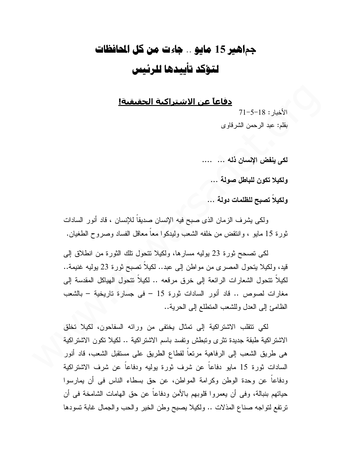## جماهير 15 مايو .. جاءت من كل المافظات لتؤكد تأسدها للرئيس

<u>دفاعاً عن الاشتراكية الحقيقية!</u>

 $71 - 5 - 18$  : الأخبار بقلم: عبد الرحمن الشرقاوي

لكي ينفض الإنسان ذله ... ....

و لكيلا تكون للباطل صولة ...

و لكبلاً تصبح للظلمات دولة ...

ولكي يشرف الزمان الذي صبح فيه الإنسان صديقاً للإنسان ، قاد أنور السادات ثورة 15 مايو ، وانتقض من خلفه الشعب وليدكوا معا معاقل الفساد وصروح الطغيان.

لكي نصحح ثورة 23 بوليه مسارها، ولكيلا نتحول نلك الثورة من انطلاق إلى قيد، ولكيلا يتحول المصري من مواطن إلى عبد.. لكيلاً نصبح ثورة 23 يوليه غنيمة.. لكيلاً نتحول الشعارات الرائعة إلى خرق مرقعه .. لكيلاً نتحول الهياكل المقدسة إلى مغارات لصوص .. قاد أنور السادات ثورة 15 – في جسارة تاريخية – بالشعب الظامئ إلى العدل وللشعب المنطلع إلى الحرية..

لكي نتقلب الاشتراكية إلى تمثال يختفى من ورائه السفاحون، لكيلا تخلق الاشتر اكية طبقة جديدة تثر ي وتبطش وتفسد باسم الاشتر اكية .. لكيلا تكون الاشتر اكية هي طريق الشعب إلى الرفاهية مرتعاً لقطاع الطريق على مستقبل الشعب، قاد أنور السادات ثورة 15 مايو دفاعاً عن شرف ثورة بوليه ودفاعاً عن شرف الاشتراكية ودفاعاً عن وحدة الوطن وكرامة المواطن، عن حق بسطاء الناس في أن يمارسوا حياتهم بنبالة، وفي أن يعمروا قلوبهم بالأمن ودفاعا عن حق الهامات الشامخة في أن ترتفع لتواجه صناع المذلات .. ولكيلا يصبح وطن الخير والحب والجمال غابة تسودها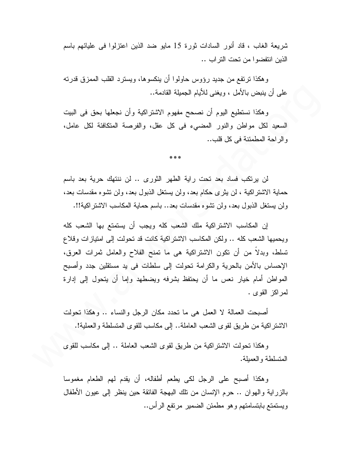شريعة الغاب ، قاد أنور السادات ثورة 15 مايو ضد الذين اعتزلوا في عليائهم باسم الذين انتفضوا من تحت التر اب ..

و هكذا ترتفع من جديد رؤوس حاولوا أن ينكسو ها، ويسترد القلب الممزق قدرته على أن ينبض بالأمل ، ويغني للأيام الجميلة القادمة..

وهكذا نستطيع اليوم أن نصحح مفهوم الاشتراكية وأن نجعلها بحق في البيت السعيد لكل مواطن والنور المضبىء في كل عقل، والفرصة المتكافئة لكل عامل، والراحة المطمئنة في كل قلب..

\*\*\*

لن يرتكب فساد بعد تحت راية الطهر الثوري .. لن ننتهك حرية بعد باسم حماية الاشتر اكية ، لن يثر ي حكام بعد، ولن يستغل الذبول بعد، ولن نتشوه مقدسات بعد، ولن يستغل الذبول بعد، ولن نتثبوه مقدسات بعد.. باسم حماية المكاسب الاشتراكية!!.

إن المكاسب الاشتراكية ملك الشعب كله ويجب أن يستمتع بها الشعب كله ويحميها الشعب كله .. ولكن المكاسب الاشتر اكية كانت قد تحولت إلى امتياز ات وقلاع تسلط، وبدلا من أن نكون الاشتراكية هي ما تمنح الفلاح والعامل ثمرات العرق، الإحساس بالأمن بالحرية والكرامة تحولت إلى سلطات في يد مستقلين جدد وأصبح المواطن أمام خيار نعس ما أن يحتفظ بشرفه ويضطهد وإما أن يتحول إلىي إدارة لمراكز القوى .

أصبحت العمالة لا العمل هي ما تحدد مكان الرجل والنساء .. وهكذا تحولت الاشتراكية من طريق لقوى الشعب العاملة.. إلى مكاسب للقوى المتسلطة والعملية!.

و هكذا نحولت الاشتر اكية من طريق لقوى الشعب العاملة .. إلى مكاسب للقوى المتسلطة والعميلة.

وهكذا أصبح على الرجل لكي يطعم أطفاله، أن يقدم لهم الطعام مغموسا بالزراية والهوان .. حرم الإنسان من نلك البهجة الفائقة حين ينظر إلى عيون الأطفال ويستمتع بابتسامتهم وهو مطمئن الضمير مرتفع الرأس..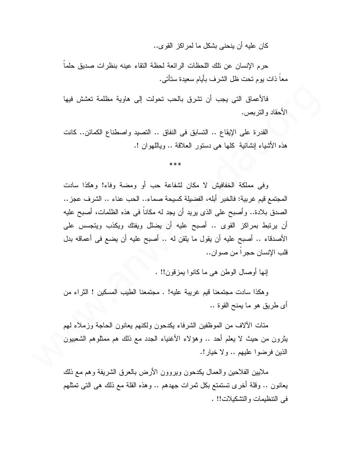كان عليه أن ينحني بشكل ما لمر اكز القو ي..

حرم الإنسان عن تلك اللحظات الرائعة لحظة التقاء عينه بنظرات صديق حلما معا ذات يوم نحت ظل الشرف بأيام سعيدة ستأتى.

فالأعماق التي يجب أن نشرق بالحب نحولت إلى هاوية مظلمة نعشش فيها الأحقاد والنربص.

القدرة على الإيقاع .. التسابق في النفاق .. التصيد واصطناع الكمائن.. كانت هذه الأشياء إنشائية كلَّها هي دستور العلاقة .. وباللَّهوان !.

وفي مملكة الخفافيش لا مكان لشفاعة حب أو ومضبة وفاء! وهكذا سادت المجتمع فيم غربية: فالخبر ۖ أبله، الفضيلة كسيحة صماء.. الحب عناء .. الشرف عجز .. الصدق بلادة.. وأصبح على الذي يريد أن يجد له مكاناً في هذه الظلمات، أصبح عليه أن برتبط بمراكز القوى .. أصبح عليه أن يضلل ويفتك ويكذب ويتجسس على الأصدقاء .. أصبح عليه أن يقول ما يلقن له .. أصبح عليه أن يضع في أعماقه بدل قلب الإنسان حجر ا من صو ان..

إنها أوصال الوطن هي ما كانوا يمز قون!! .

وهكذا سادت مجتمعنا قيم غريبة عليه! . مجتمعنا الطيب المسكين ! الثراء من أي طريق هو ما يمنح القوة ..

مئات الألاف من الموظفين الشرفاء يكدحون ولكنهم يعانون الحاجة وزملاء لهم يثرون من حيث لا يعلم أحد .. وهؤلاء الأغنياء الجدد مع ذلك هم ممثلوهم الشعبيون الذين فرضوا عليهم .. ولا خيار !.

ملايين الفلاحين والعمال يكدحون ويروون الأرض بالعرق الشريفة وهم مع ذلك يعانون .. وقلة أخرى تستمتع بكل ثمرات جهدهم .. وهذه القلة مع ذلك هي التي تمثلهم في النتظيمات والتشكيلات!! .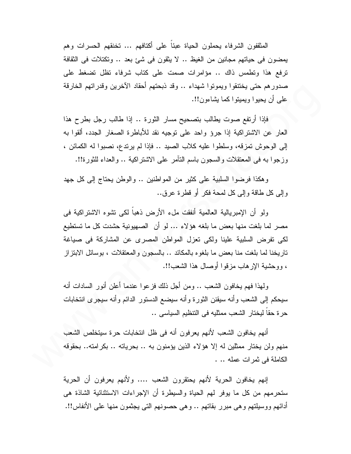المثقفون الشرفاء يحملون الحياة عبئاً على أكتافهم ... تخنقهم الحسرات وهم يمضون في حياتهم مجانين من الغيظ .. لا ينقون في شئ بعد .. وتكتلات في الثقافة ترفع هذا ونظمس ذاك .. مؤامرات صمت على كتاب شرفاء نظل نضغط على صدورهم حتى يختنقوا ويمونوا شهداء .. وقد ذبحتهم أحقاد الآخرين وقدراتهم الخارقة علمي أن يحيوا ويميتوا كما يشاءون!!.

فإذا أرتفع صوت يطالب بتصحيح مسار الثورة .. إذا طالب رجل بطرح هذا العار عن الاشتراكية إذا جرؤ واحد على نوجيه نقد للأباطرة الصغار الجدد، ألقوا به إلى الوحوش تمزقه، وسلطوا عليه كلاب الصيد .. فإذا لم يرتدع، نصبوا له الكمائن ، وزجوا به في المعتقلات والسجون باسم النَّامر على الاشتراكية .. والعداء للثورة!!.

و هكذا فرضوا السلبية على كثير من المواطنين .. والوطن يحتاج إلى كل جهد وَ إِلَى كُلِّ طَاقَةٌ وَ إِلَى كُلِّ لَمَحَةٌ فَكُلِّ أَو قَطْرَةٌ عَرَ قِ..

ولو أن الإمبر بالية العالمية أنفقت ملء الأرض ذهباً لكي نشوه الاشتر اكية في مصر لما بلغت منها بعض ما بلغه هؤلاء … لو أن الصهيونية حشدت كل ما تستطيع لكي نفرض السلبية علينا ولكي تعزل المواطن المصرى عن المشاركة في صياغة تاريخنا لما بلغت منا بعض ما بلغوه بالمكائد .. بالسجون والمعتقلات ، بوسائل الابتز إز ، ووحشية الإرهاب مزقوا أوصال هذا الشعب!!.

ولهذا فهم يخافون الشعب .. ومن أجل ذلك فزعوا عندما أعلن أنور السادات أنه سيحكم إلىي الشعب وأنه سيقنن الثورة وأنه سيضع الدستور الدائم وأنه سيجرى انتخابات حرة حقا ليختار الشعب ممثليه في النتظيم السياسي ..

أنهم يخافون الشعب لأنهم يعرفون أنه في ظل انتخابات حرة سيتخلص الشعب منهم ولن يختار ممثلين له إلا هؤلاء الذين يؤمنون به .. بحرياته .. بكر امته.. بحقوقه الكاملة في ثمرات عمله .. .

إنهم يخافون الحرية لأنهم يحتقرون الشعب …. ولأنهم يعرفون أن الحرية ستحرمهم من كل ما بوفر لهم الحياة والسيطرة أن الإجراءات الاستثنائية الشاذة هي أدائهم ووسيلتهم وهي مبرر بقاتهم .. وهي حصونهم التي يجثمون منها على الأنفاس!!.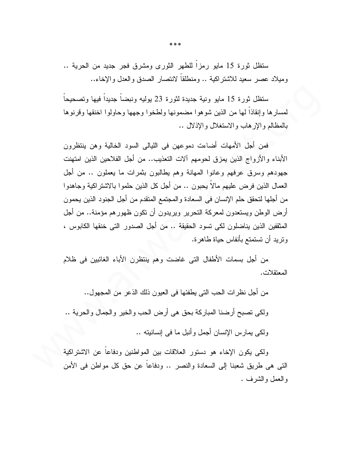ستظل ثورة 15 مايو رمزًا للطهر الثوري ومشرق فجر جديد من الحرية .. ومبلاد عصر سعبد للاشتر اكبة .. ومنطلقا لانتصار الصدق والعدل والإخاء..

ستظل ثورة 15 مايو ونية جديدة لثورة 23 يوليه ونبضاً جديداً فيها وتصحيحاً لمسارها وإنقاذا لمها من الذين شوهوا مضمونها ولطخوا وجهها وحاولوا اخنقها وقرنوها بالمظالم والإرهاب والاستغلال والإذلال ..

فمن أجل الأمهات أضاءت دموعهن في الليالي السود الخالية وهن ينتظرون الأبناء والأزواج الذين يمزق لحومهم ألات التعذيب.. من أجل الفلاحين الذين امتهنت جهودهم وسرق عرفهم وعانوا المهانة وهم بطالبون بثمرات ما يعملون .. من أجل العمال الذين فرض عليهم مالا يحبون .. من أجل كل الذين حلمو ا بالاشتر اكية وجاهدو ا من أجلها لتحقق حلم الإنسان في السعادة و المجتمع المتقدم من أجل الجنود الذين يحمون أرض الوطن ويستعدون لمعركة التحرير ويريدون أن نكون ظهورهم مؤمنة.. من أجل المثقفين الذين يناضلون لكي تسود الحقيقة .. من أجل الصدور التي خنقها الكابوس ، ونزيد أن تستمتع بأنفاس حياة طاهرة.

من أجل بسمات الأطفال التي غاضت وهم ينتظرن الأباء الغائبين في ظلام المعتقلات.

من أجل نظرات الحب التي يطفئها في العيون ذلك الذعر من المجهول..

ولكي نصبح أرضنا المباركة بحق هي أرض الحب والخير والجمال والحرية ..

ولكي بمارس الإنسان أجمل وأنبل ما في إنسانيته ..

ولكي يكون الإخاء هو دستور العلاقات بين المواطنين ودفاعا عن الاشتراكية التبي هي طريق شعبنا إلى السعادة والنصر .. ودفاعا عن حق كل مواطن في الأمن والعمل والشرف .